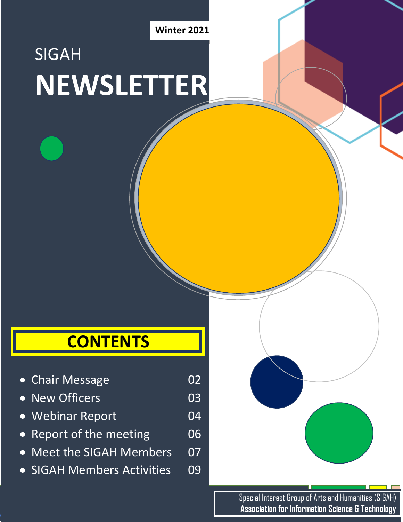1 **Winter 2021**

# SIGAH **NEWSLETTER**

### **CONTENTS**

- Chair Message **02**
- New Officers **03**
- Webinar Report 04
- Report of the meeting 06
- Meet the SIGAH Members 07
- SIGAH Members Activities 09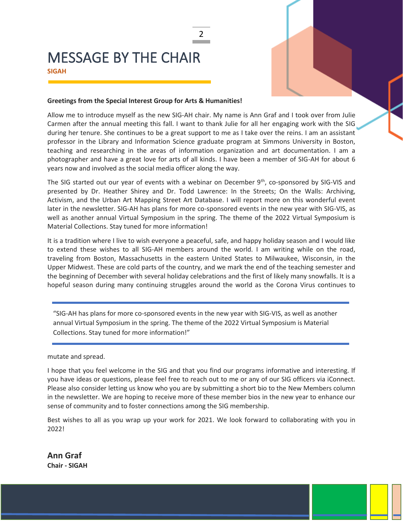### MESSAGE BY THE CHAIR **SIGAH**

#### **Greetings from the Special Interest Group for Arts & Humanities!**

Allow me to introduce myself as the new SIG-AH chair. My name is Ann Graf and I took over from Julie Carmen after the annual meeting this fall. I want to thank Julie for all her engaging work with the SIG during her tenure. She continues to be a great support to me as I take over the reins. I am an assistant professor in the Library and Information Science graduate program at Simmons University in Boston, teaching and researching in the areas of information organization and art documentation. I am a photographer and have a great love for arts of all kinds. I have been a member of SIG-AH for about 6 years now and involved as the social media officer along the way.

2

The SIG started out our year of events with a webinar on December 9<sup>th</sup>, co-sponsored by SIG-VIS and presented by Dr. Heather Shirey and Dr. Todd Lawrence: In the Streets; On the Walls: Archiving, Activism, and the Urban Art Mapping Street Art Database. I will report more on this wonderful event later in the newsletter. SIG-AH has plans for more co-sponsored events in the new year with SIG-VIS, as well as another annual Virtual Symposium in the spring. The theme of the 2022 Virtual Symposium is Material Collections. Stay tuned for more information!

It is a tradition where I live to wish everyone a peaceful, safe, and happy holiday season and I would like to extend these wishes to all SIG-AH members around the world. I am writing while on the road, traveling from Boston, Massachusetts in the eastern United States to Milwaukee, Wisconsin, in the Upper Midwest. These are cold parts of the country, and we mark the end of the teaching semester and the beginning of December with several holiday celebrations and the first of likely many snowfalls. It is a hopeful season during many continuing struggles around the world as the Corona Virus continues to

"SIG-AH has plans for more co-sponsored events in the new year with SIG-VIS, as well as another annual Virtual Symposium in the spring. The theme of the 2022 Virtual Symposium is Material Collections. Stay tuned for more information!"

mutate and spread.

I hope that you feel welcome in the SIG and that you find our programs informative and interesting. If you have ideas or questions, please feel free to reach out to me or any of our SIG officers via iConnect. Please also consider letting us know who you are by submitting a short bio to the New Members column in the newsletter. We are hoping to receive more of these member bios in the new year to enhance our sense of community and to foster connections among the SIG membership.

Best wishes to all as you wrap up your work for 2021. We look forward to collaborating with you in 2022!

**Ann Graf Chair - SIGAH**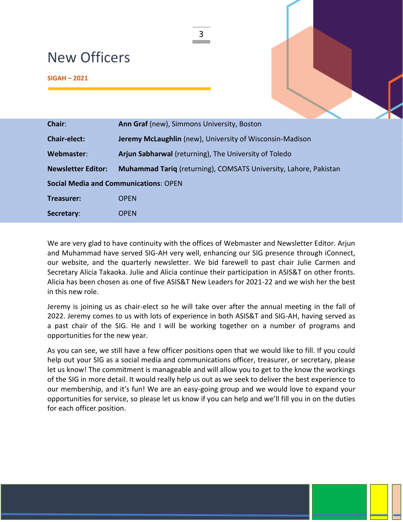### New Officers

| <b>New Officers</b> |                                            |  |  |
|---------------------|--------------------------------------------|--|--|
| $SIGAH - 2021$      |                                            |  |  |
|                     |                                            |  |  |
| Chair:              | Ann Graf (new), Simmons University, Boston |  |  |

| GHAIL.                                       | <b>ATTLOI QT (TIEW), SITTLIUTS UTTVEISILY, DUSLUIT</b>           |  |  |
|----------------------------------------------|------------------------------------------------------------------|--|--|
| <b>Chair-elect:</b>                          | <b>Jeremy McLaughlin</b> (new), University of Wisconsin-Madison  |  |  |
| Webmaster:                                   | Arjun Sabharwal (returning), The University of Toledo            |  |  |
| <b>Newsletter Editor:</b>                    | Muhammad Tariq (returning), COMSATS University, Lahore, Pakistan |  |  |
| <b>Social Media and Communications: OPEN</b> |                                                                  |  |  |
| Treasurer:                                   | <b>OPEN</b>                                                      |  |  |
| Secretary:                                   | OPEN                                                             |  |  |

We are very glad to have continuity with the offices of Webmaster and Newsletter Editor. Arjun and Muhammad have served SIG-AH very well, enhancing our SIG presence through iConnect, our website, and the quarterly newsletter. We bid farewell to past chair Julie Carmen and Secretary Alicia Takaoka. Julie and Alicia continue their participation in ASIS&T on other fronts. Alicia has been chosen as one of five ASIS&T New Leaders for 2021-22 and we wish her the best in this new role.

Jeremy is joining us as chair-elect so he will take over after the annual meeting in the fall of 2022. Jeremy comes to us with lots of experience in both ASIS&T and SIG-AH, having served as a past chair of the SIG. He and I will be working together on a number of programs and opportunities for the new year.

As you can see, we still have a few officer positions open that we would like to fill. If you could help out your SIG as a social media and communications officer, treasurer, or secretary, please let us know! The commitment is manageable and will allow you to get to the know the workings of the SIG in more detail. It would really help us out as we seek to deliver the best experience to our membership, and it's fun! We are an easy-going group and we would love to expand your opportunities for service, so please let us know if you can help and we'll fill you in on the duties for each officer position.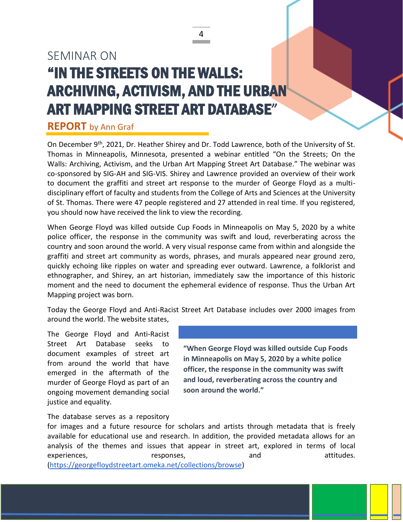### SEMINAR ON "IN THE STREETS ON THE WALLS: ARCHIVING, ACTIVISM, AND THE URBAN ART MAPPING STREET ART DATABASE"

### **REPORT** by Ann Graf

On December 9<sup>th</sup>, 2021, Dr. Heather Shirey and Dr. Todd Lawrence, both of the University of St. Thomas in Minneapolis, Minnesota, presented a webinar entitled "On the Streets; On the Walls: Archiving, Activism, and the Urban Art Mapping Street Art Database." The webinar was co-sponsored by SIG-AH and SIG-VIS. Shirey and Lawrence provided an overview of their work to document the graffiti and street art response to the murder of George Floyd as a multidisciplinary effort of faculty and students from the College of Arts and Sciences at the University of St. Thomas. There were 47 people registered and 27 attended in real time. If you registered, you should now have received the link to view the recording.

4

When George Floyd was killed outside Cup Foods in Minneapolis on May 5, 2020 by a white police officer, the response in the community was swift and loud, reverberating across the country and soon around the world. A very visual response came from within and alongside the graffiti and street art community as words, phrases, and murals appeared near ground zero, quickly echoing like ripples on water and spreading ever outward. Lawrence, a folklorist and ethnographer, and Shirey, an art historian, immediately saw the importance of this historic moment and the need to document the ephemeral evidence of response. Thus the Urban Art Mapping project was born.

Today the George Floyd and Anti-Racist Street Art Database includes over 2000 images from around the world. The website states,

The George Floyd and Anti-Racist Street Art Database seeks to document examples of street art from around the world that have emerged in the aftermath of the murder of George Floyd as part of an ongoing movement demanding social justice and equality.

**"When George Floyd was killed outside Cup Foods in Minneapolis on May 5, 2020 by a white police officer, the response in the community was swift and loud, reverberating across the country and soon around the world."**

#### The database serves as a repository

for images and a future resource for scholars and artists through metadata that is freely available for educational use and research. In addition, the provided metadata allows for an analysis of the themes and issues that appear in street art, explored in terms of local experiences, experiences, experiences, and attitudes.

[\(https://georgefloydstreetart.omeka.net/collections/browse\)](https://georgefloydstreetart.omeka.net/collections/browse)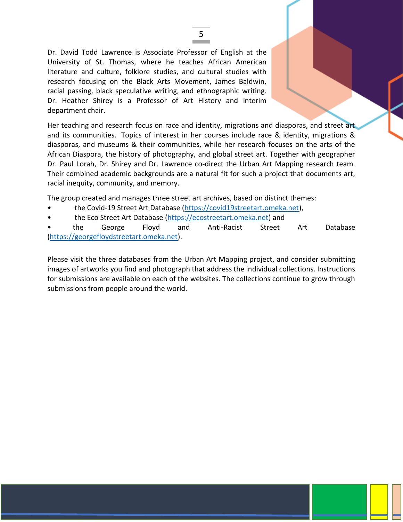Dr. David Todd Lawrence is Associate Professor of English at the University of St. Thomas, where he teaches African American literature and culture, folklore studies, and cultural studies with research focusing on the Black Arts Movement, James Baldwin, racial passing, black speculative writing, and ethnographic writing. Dr. Heather Shirey is a Professor of Art History and interim department chair.

Her teaching and research focus on race and identity, migrations and diasporas, and street art and its communities. Topics of interest in her courses include race & identity, migrations & diasporas, and museums & their communities, while her research focuses on the arts of the African Diaspora, the history of photography, and global street art. Together with geographer Dr. Paul Lorah, Dr. Shirey and Dr. Lawrence co-direct the Urban Art Mapping research team. Their combined academic backgrounds are a natural fit for such a project that documents art, racial inequity, community, and memory.

The group created and manages three street art archives, based on distinct themes:

- the Covid-19 Street Art Database [\(https://covid19streetart.omeka.net\)](https://covid19streetart.omeka.net/),
- the Eco Street Art Database [\(https://ecostreetart.omeka.net\)](https://ecostreetart.omeka.net/) and

• the George Floyd and Anti-Racist Street Art Database [\(https://georgefloydstreetart.omeka.net\)](https://georgefloydstreetart.omeka.net/).

Please visit the three databases from the Urban Art Mapping project, and consider submitting images of artworks you find and photograph that address the individual collections. Instructions for submissions are available on each of the websites. The collections continue to grow through submissions from people around the world.

#### 5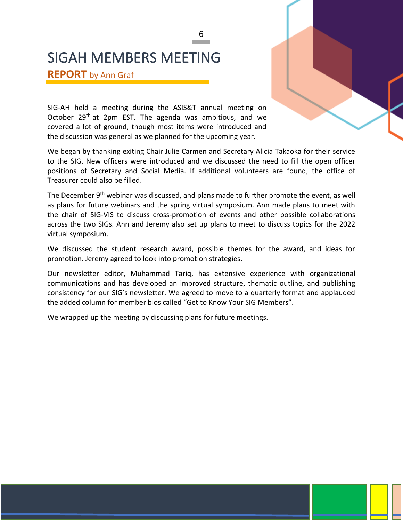### SIGAH MEMBERS MEETING

**REPORT** by Ann Graf

SIG-AH held a meeting during the ASIS&T annual meeting on October 29<sup>th</sup> at 2pm EST. The agenda was ambitious, and we covered a lot of ground, though most items were introduced and the discussion was general as we planned for the upcoming year.

We began by thanking exiting Chair Julie Carmen and Secretary Alicia Takaoka for their service to the SIG. New officers were introduced and we discussed the need to fill the open officer positions of Secretary and Social Media. If additional volunteers are found, the office of Treasurer could also be filled.

6

The December  $9<sup>th</sup>$  webinar was discussed, and plans made to further promote the event, as well as plans for future webinars and the spring virtual symposium. Ann made plans to meet with the chair of SIG-VIS to discuss cross-promotion of events and other possible collaborations across the two SIGs. Ann and Jeremy also set up plans to meet to discuss topics for the 2022 virtual symposium.

We discussed the student research award, possible themes for the award, and ideas for promotion. Jeremy agreed to look into promotion strategies.

Our newsletter editor, Muhammad Tariq, has extensive experience with organizational communications and has developed an improved structure, thematic outline, and publishing consistency for our SIG's newsletter. We agreed to move to a quarterly format and applauded the added column for member bios called "Get to Know Your SIG Members".

We wrapped up the meeting by discussing plans for future meetings.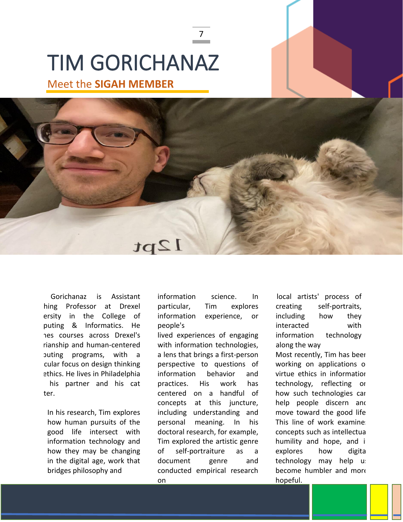## TIM GORICHANAZ

Meet the **SIGAH MEMBER**



7

Gorichanaz is Assistant hing Professor at Drexel ersity in the College of puting & Informatics. He hes courses across Drexel's rianship and human-centered puting programs, with cular focus on design thinking ethics. He lives in Philadelphia his partner and his cat ter.

In his research, Tim explores how human pursuits of the good life intersect with information technology and how they may be changing in the digital age, work that bridges philosophy and

information science. In particular, Tim explores information experience, or people's

lived experiences of engaging with information technologies, a lens that brings a first-person perspective to questions of information behavior and practices. His work has centered on a handful of concepts at this juncture, including understanding and personal meaning. In his doctoral research, for example, Tim explored the artistic genre of self-portraiture as a document genre and conducted empirical research on

local artists' process of creating self-portraits, including how they interacted with information technology along the way

Most recently, Tim has been working on applications of virtue ethics in information technology, reflecting on how such technologies can help people discern and move toward the good life. This line of work examines concepts such as intellectual humility and hope, and it explores how digital technology may help us become humbler and more hopeful.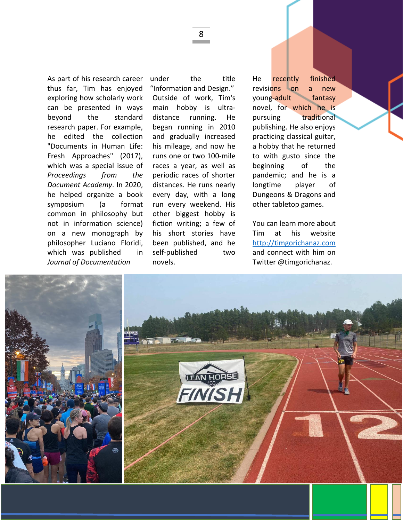As part of his research career thus far, Tim has enjoyed exploring how scholarly work can be presented in ways beyond the standard research paper. For example, he edited the collection "Documents in Human Life: Fresh Approaches" (2017), which was a special issue of *Proceedings from the Document Academy*. In 2020, he helped organize a book symposium (a format common in philosophy but not in information science) on a new monograph by philosopher Luciano Floridi, which was published in *Journal of Documentation* 

under the title "Information and Design." Outside of work, Tim's main hobby is ultradistance running. He began running in 2010 and gradually increased his mileage, and now he runs one or two 100-mile races a year, as well as periodic races of shorter distances. He runs nearly every day, with a long run every weekend. His other biggest hobby is fiction writing; a few of his short stories have been published, and he self-published two novels.

He recently finished revisions on a new young-adult fantasy novel, for which he is pursuing traditional publishing. He also enjoys practicing classical guitar, a hobby that he returned to with gusto since the beginning of the pandemic; and he is a longtime player of Dungeons & Dragons and other tabletop games.

You can learn more about Tim at his website [http://timgorichanaz.com](http://timgorichanaz.com/) and connect with him on Twitter @timgorichanaz.



8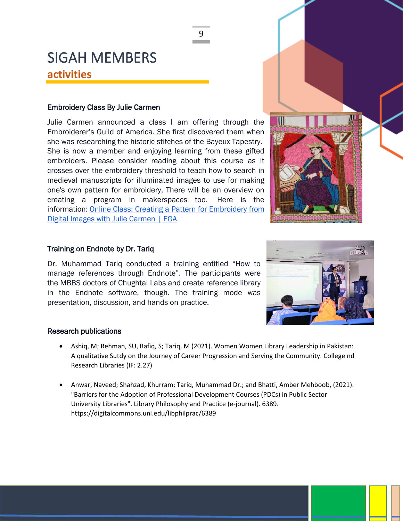### SIGAH MEMBERS **activities**

#### Embroidery Class By Julie Carmen

Julie Carmen announced a class I am offering through the Embroiderer's Guild of America. She first discovered them when she was researching the historic stitches of the Bayeux Tapestry. She is now a member and enjoying learning from these gifted embroiders. Please consider reading about this course as it crosses over the embroidery threshold to teach how to search in medieval manuscripts for illuminated images to use for making one's own pattern for embroidery, There will be an overview on creating a program in makerspaces too. Here is the information: Online Class: Creating a Pattern for Embroidery from [Digital Images with Julie Carmen | EGA](https://egausa.org/courses/creating-a-pattern-for-embroidery-from-digital-images/)

#### Training on Endnote by Dr. Tariq

Dr. Muhammad Tariq conducted a training entitled "How to manage references through Endnote". The participants were the MBBS doctors of Chughtai Labs and create reference library in the Endnote software, though. The training mode was presentation, discussion, and hands on practice.



#### Research publications

- Ashiq, M; Rehman, SU, Rafiq, S; Tariq, M (2021). Women Women Library Leadership in Pakistan: A qualitative Sutdy on the Journey of Career Progression and Serving the Community. College nd Research Libraries (IF: 2.27)
- Anwar, Naveed; Shahzad, Khurram; Tariq, Muhammad Dr.; and Bhatti, Amber Mehboob, (2021). "Barriers for the Adoption of Professional Development Courses (PDCs) in Public Sector University Libraries". Library Philosophy and Practice (e-journal). 6389. <https://digitalcommons.unl.edu/libphilprac/6389>

9